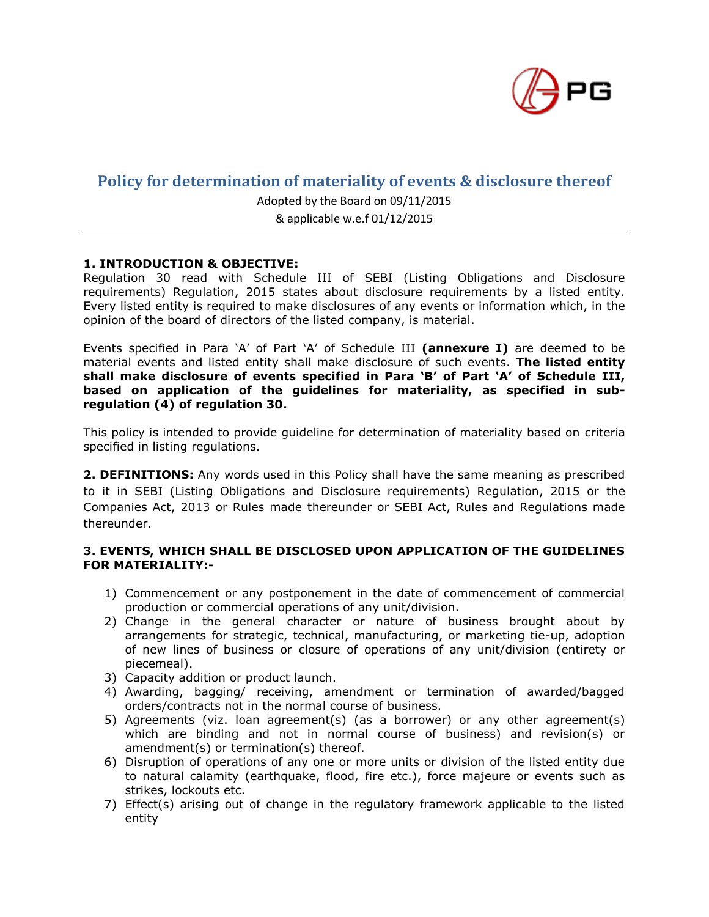

# **Policy for determination of materiality of events & disclosure thereof**

Adopted by the Board on 09/11/2015

& applicable w.e.f 01/12/2015

## **1. INTRODUCTION & OBJECTIVE:**

Regulation 30 read with Schedule III of SEBI (Listing Obligations and Disclosure requirements) Regulation, 2015 states about disclosure requirements by a listed entity. Every listed entity is required to make disclosures of any events or information which, in the opinion of the board of directors of the listed company, is material.

Events specified in Para 'A' of Part 'A' of Schedule III **(annexure I)** are deemed to be material events and listed entity shall make disclosure of such events. **The listed entity shall make disclosure of events specified in Para 'B' of Part 'A' of Schedule III, based on application of the guidelines for materiality, as specified in subregulation (4) of regulation 30.**

This policy is intended to provide guideline for determination of materiality based on criteria specified in listing regulations.

**2. DEFINITIONS:** Any words used in this Policy shall have the same meaning as prescribed to it in SEBI (Listing Obligations and Disclosure requirements) Regulation, 2015 or the Companies Act, 2013 or Rules made thereunder or SEBI Act, Rules and Regulations made thereunder.

## **3. EVENTS, WHICH SHALL BE DISCLOSED UPON APPLICATION OF THE GUIDELINES FOR MATERIALITY:-**

- 1) Commencement or any postponement in the date of commencement of commercial production or commercial operations of any unit/division.
- 2) Change in the general character or nature of business brought about by arrangements for strategic, technical, manufacturing, or marketing tie-up, adoption of new lines of business or closure of operations of any unit/division (entirety or piecemeal).
- 3) Capacity addition or product launch.
- 4) Awarding, bagging/ receiving, amendment or termination of awarded/bagged orders/contracts not in the normal course of business.
- 5) Agreements (viz. loan agreement(s) (as a borrower) or any other agreement(s) which are binding and not in normal course of business) and revision(s) or amendment(s) or termination(s) thereof.
- 6) Disruption of operations of any one or more units or division of the listed entity due to natural calamity (earthquake, flood, fire etc.), force majeure or events such as strikes, lockouts etc.
- 7) Effect(s) arising out of change in the regulatory framework applicable to the listed entity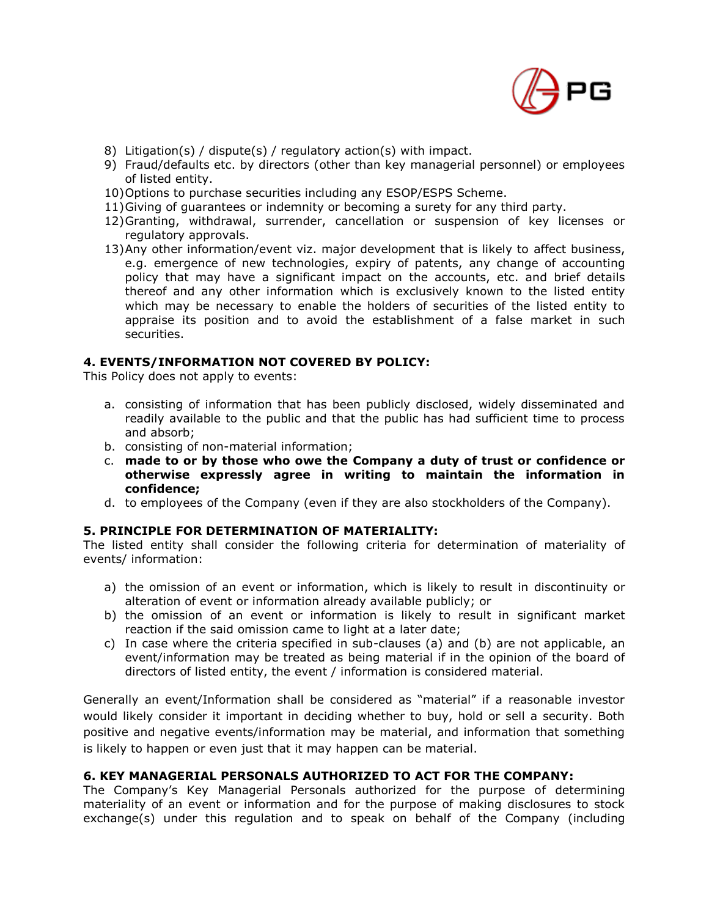

- 8) Litigation(s) / dispute(s) / regulatory action(s) with impact.
- 9) Fraud/defaults etc. by directors (other than key managerial personnel) or employees of listed entity.
- 10)Options to purchase securities including any ESOP/ESPS Scheme.
- 11)Giving of guarantees or indemnity or becoming a surety for any third party.
- 12)Granting, withdrawal, surrender, cancellation or suspension of key licenses or regulatory approvals.
- 13)Any other information/event viz. major development that is likely to affect business, e.g. emergence of new technologies, expiry of patents, any change of accounting policy that may have a significant impact on the accounts, etc. and brief details thereof and any other information which is exclusively known to the listed entity which may be necessary to enable the holders of securities of the listed entity to appraise its position and to avoid the establishment of a false market in such securities.

#### **4. EVENTS/INFORMATION NOT COVERED BY POLICY:**

This Policy does not apply to events:

- a. consisting of information that has been publicly disclosed, widely disseminated and readily available to the public and that the public has had sufficient time to process and absorb;
- b. consisting of non-material information;
- c. **made to or by those who owe the Company a duty of trust or confidence or otherwise expressly agree in writing to maintain the information in confidence;**
- d. to employees of the Company (even if they are also stockholders of the Company).

#### **5. PRINCIPLE FOR DETERMINATION OF MATERIALITY:**

The listed entity shall consider the following criteria for determination of materiality of events/ information:

- a) the omission of an event or information, which is likely to result in discontinuity or alteration of event or information already available publicly; or
- b) the omission of an event or information is likely to result in significant market reaction if the said omission came to light at a later date;
- c) In case where the criteria specified in sub-clauses (a) and (b) are not applicable, an event/information may be treated as being material if in the opinion of the board of directors of listed entity, the event / information is considered material.

Generally an event/Information shall be considered as "material" if a reasonable investor would likely consider it important in deciding whether to buy, hold or sell a security. Both positive and negative events/information may be material, and information that something is likely to happen or even just that it may happen can be material.

## **6. KEY MANAGERIAL PERSONALS AUTHORIZED TO ACT FOR THE COMPANY:**

The Company's Key Managerial Personals authorized for the purpose of determining materiality of an event or information and for the purpose of making disclosures to stock exchange(s) under this regulation and to speak on behalf of the Company (including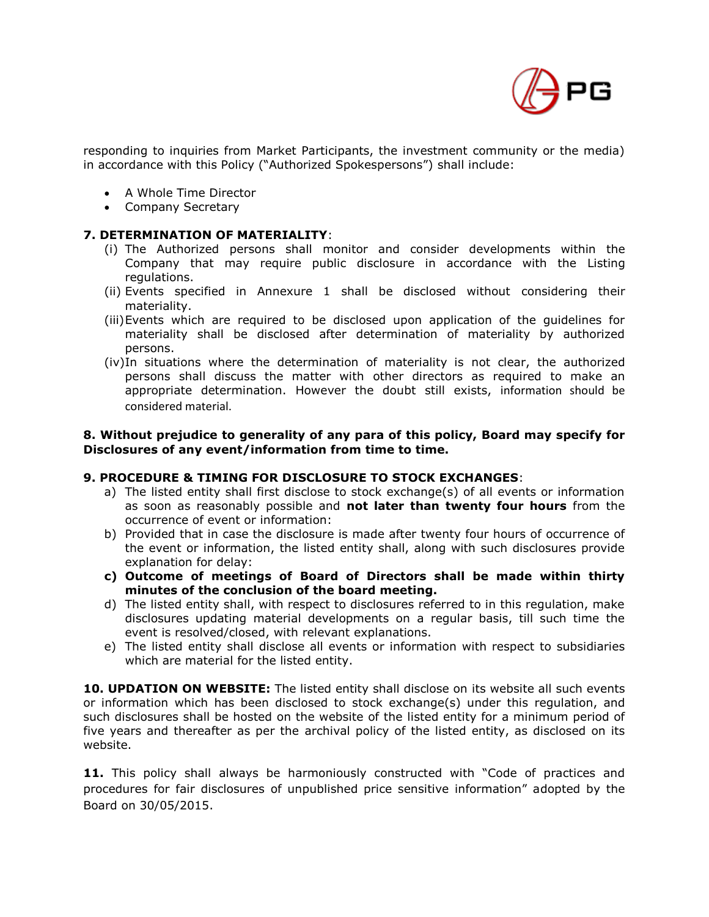

responding to inquiries from Market Participants, the investment community or the media) in accordance with this Policy ("Authorized Spokespersons") shall include:

- A Whole Time Director
- Company Secretary

#### **7. DETERMINATION OF MATERIALITY**:

- (i) The Authorized persons shall monitor and consider developments within the Company that may require public disclosure in accordance with the Listing regulations.
- (ii) Events specified in Annexure 1 shall be disclosed without considering their materiality.
- (iii)Events which are required to be disclosed upon application of the guidelines for materiality shall be disclosed after determination of materiality by authorized persons.
- (iv)In situations where the determination of materiality is not clear, the authorized persons shall discuss the matter with other directors as required to make an appropriate determination. However the doubt still exists, information should be considered material.

#### **8. Without prejudice to generality of any para of this policy, Board may specify for Disclosures of any event/information from time to time.**

## **9. PROCEDURE & TIMING FOR DISCLOSURE TO STOCK EXCHANGES**:

- a) The listed entity shall first disclose to stock exchange(s) of all events or information as soon as reasonably possible and **not later than twenty four hours** from the occurrence of event or information:
- b) Provided that in case the disclosure is made after twenty four hours of occurrence of the event or information, the listed entity shall, along with such disclosures provide explanation for delay:
- **c) Outcome of meetings of Board of Directors shall be made within thirty minutes of the conclusion of the board meeting.**
- d) The listed entity shall, with respect to disclosures referred to in this regulation, make disclosures updating material developments on a regular basis, till such time the event is resolved/closed, with relevant explanations.
- e) The listed entity shall disclose all events or information with respect to subsidiaries which are material for the listed entity.

**10. UPDATION ON WEBSITE:** The listed entity shall disclose on its website all such events or information which has been disclosed to stock exchange(s) under this regulation, and such disclosures shall be hosted on the website of the listed entity for a minimum period of five years and thereafter as per the archival policy of the listed entity, as disclosed on its website.

**11.** This policy shall always be harmoniously constructed with "Code of practices and procedures for fair disclosures of unpublished price sensitive information" adopted by the Board on 30/05/2015.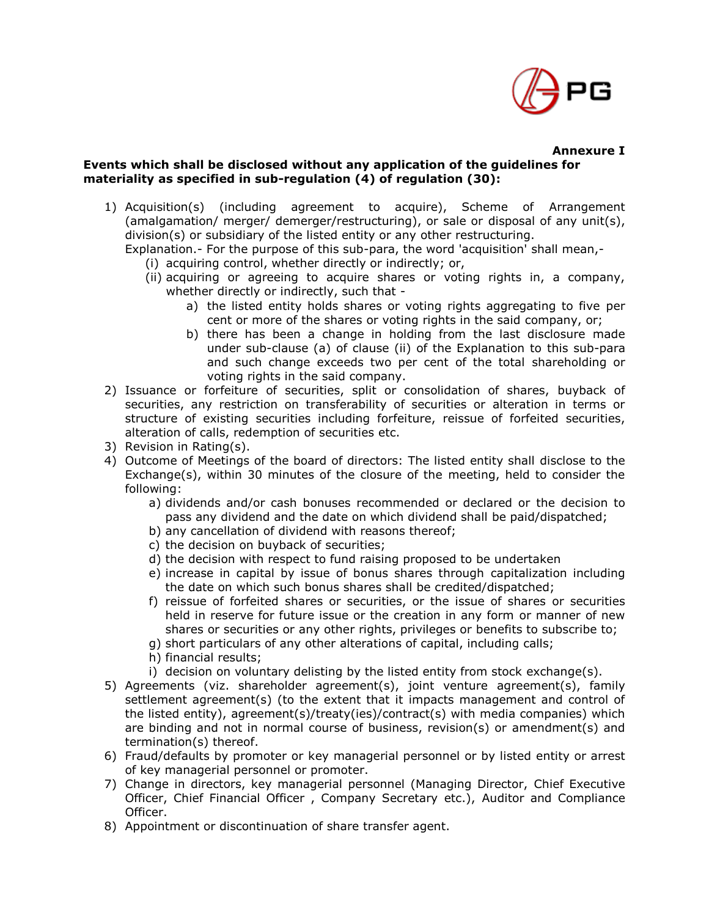

## **Events which shall be disclosed without any application of the guidelines for materiality as specified in sub-regulation (4) of regulation (30):**

- 1) Acquisition(s) (including agreement to acquire), Scheme of Arrangement (amalgamation/ merger/ demerger/restructuring), or sale or disposal of any unit(s), division(s) or subsidiary of the listed entity or any other restructuring.
	- Explanation.- For the purpose of this sub-para, the word 'acquisition' shall mean,-
		- (i) acquiring control, whether directly or indirectly; or,
		- (ii) acquiring or agreeing to acquire shares or voting rights in, a company, whether directly or indirectly, such that
			- a) the listed entity holds shares or voting rights aggregating to five per cent or more of the shares or voting rights in the said company, or;
			- b) there has been a change in holding from the last disclosure made under sub-clause (a) of clause (ii) of the Explanation to this sub-para and such change exceeds two per cent of the total shareholding or voting rights in the said company.
- 2) Issuance or forfeiture of securities, split or consolidation of shares, buyback of securities, any restriction on transferability of securities or alteration in terms or structure of existing securities including forfeiture, reissue of forfeited securities, alteration of calls, redemption of securities etc.
- 3) Revision in Rating(s).
- 4) Outcome of Meetings of the board of directors: The listed entity shall disclose to the Exchange(s), within 30 minutes of the closure of the meeting, held to consider the following:
	- a) dividends and/or cash bonuses recommended or declared or the decision to pass any dividend and the date on which dividend shall be paid/dispatched;
	- b) any cancellation of dividend with reasons thereof;
	- c) the decision on buyback of securities;
	- d) the decision with respect to fund raising proposed to be undertaken
	- e) increase in capital by issue of bonus shares through capitalization including the date on which such bonus shares shall be credited/dispatched;
	- f) reissue of forfeited shares or securities, or the issue of shares or securities held in reserve for future issue or the creation in any form or manner of new shares or securities or any other rights, privileges or benefits to subscribe to;
	- g) short particulars of any other alterations of capital, including calls;
	- h) financial results;
	- i) decision on voluntary delisting by the listed entity from stock exchange(s).
- 5) Agreements (viz. shareholder agreement(s), joint venture agreement(s), family settlement agreement(s) (to the extent that it impacts management and control of the listed entity), agreement(s)/treaty(ies)/contract(s) with media companies) which are binding and not in normal course of business, revision(s) or amendment(s) and termination(s) thereof.
- 6) Fraud/defaults by promoter or key managerial personnel or by listed entity or arrest of key managerial personnel or promoter.
- 7) Change in directors, key managerial personnel (Managing Director, Chief Executive Officer, Chief Financial Officer , Company Secretary etc.), Auditor and Compliance Officer.
- 8) Appointment or discontinuation of share transfer agent.